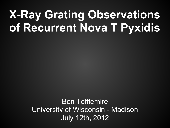# **X-Ray Grating Observations of Recurrent Nova T Pyxidis**

Ben Tofflemire University of Wisconsin - Madison July 12th, 2012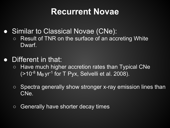#### **Recurrent Novae**

- Similar to Classical Novae (CNe):
	- Result of TNR on the surface of an accreting White Dwarf.
- Different in that:
	- Have much higher accretion rates than Typical CNe  $($ >10<sup>-8</sup> M<sub>o</sub> yr<sup>-1</sup> for T Pyx, Selvelli et al. 2008).
	- Spectra generally show stronger x-ray emission lines than CNe.
	- Generally have shorter decay times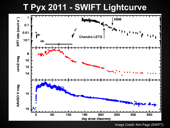#### **T Pyx 2011 - SWIFT Lightcurve**



Image Credit: Kim Page (SWIFT)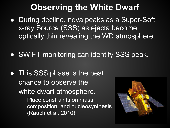#### **Observing the White Dwarf**

- During decline, nova peaks as a Super-Soft x-ray Source (SSS) as ejecta become optically thin revealing the WD atmosphere.
- SWIFT monitoring can identify SSS peak.
- This SSS phase is the best chance to observe the white dwarf atmosphere.
	- Place constraints on mass, composition, and nucleosynthesis (Rauch et al. 2010).

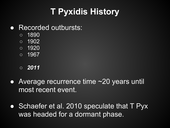## **T Pyxidis History**

#### ● Recorded outbursts:

- 1890
- 1902
- 1920
- 1967
- *2011*
- Average recurrence time ~20 years until most recent event.
- Schaefer et al. 2010 speculate that T Pyx was headed for a dormant phase.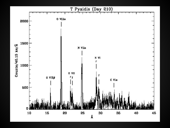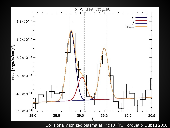

Collisionally ionized plasma at ~1x10<sup>6</sup> °K, Porquet & Dubau 2000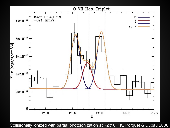

Collisionally ionized with partial photoionization at  $\sim 2 \times 10^6$  °K, Porquet & Dubau 2000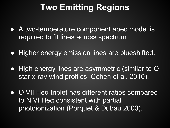### **Two Emitting Regions**

- A two-temperature component apec model is required to fit lines across spectrum.
- Higher energy emission lines are blueshifted.
- High energy lines are asymmetric (similar to O star x-ray wind profiles, Cohen et al. 2010).
- O VII Heα triplet has different ratios compared to N VI Heα consistent with partial photoionization (Porquet & Dubau 2000).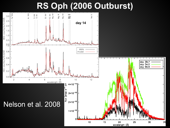#### **RS Oph (2006 Outburst)**

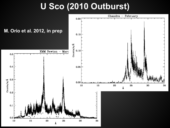#### U Sco (2010 Outburst)

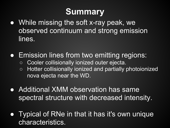### **Summary**

- While missing the soft x-ray peak, we observed continuum and strong emission lines.
- Emission lines from two emitting regions:
	- Cooler collisionally ionized outer ejecta.
	- Hotter collisionally ionized and partially photoionized nova ejecta near the WD.
- Additional XMM observation has same spectral structure with decreased intensity.
- Typical of RNe in that it has it's own unique characteristics.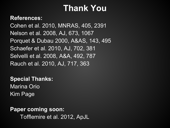#### **Thank You**

#### **References:**

Cohen et al. 2010, MNRAS, 405, 2391 Nelson et al. 2008, AJ, 673, 1067 Porquet & Dubau 2000, A&AS, 143, 495 Schaefer et al. 2010, AJ, 702, 381 Selvelli et al. 2008, A&A, 492, 787 Rauch et al. 2010, AJ, 717, 363

**Special Thanks:** Marina Orio Kim Page

#### **Paper coming soon:**

Tofflemire et al. 2012, ApJL